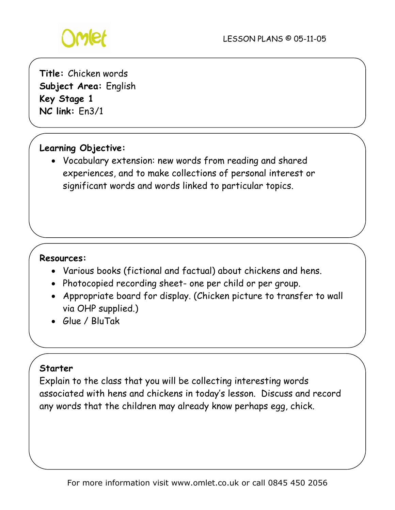

**Title:** Chicken words **Subject Area:** English **Key Stage 1 NC link:** En3/1

# **Learning Objective:**

• Vocabulary extension: new words from reading and shared experiences, and to make collections of personal interest or significant words and words linked to particular topics.

### **Resources:**

- Various books (fictional and factual) about chickens and hens.
- Photocopied recording sheet- one per child or per group.
- Appropriate board for display. (Chicken picture to transfer to wall via OHP supplied.)
- Glue / BluTak

### **Starter**

Explain to the class that you will be collecting interesting words associated with hens and chickens in today's lesson. Discuss and record any words that the children may already know perhaps egg, chick.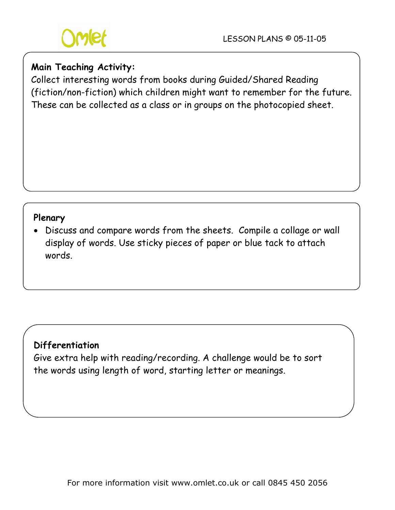

## **Main Teaching Activity:**

Collect interesting words from books during Guided/Shared Reading (fiction/non-fiction) which children might want to remember for the future. These can be collected as a class or in groups on the photocopied sheet.

### **Plenary**

• Discuss and compare words from the sheets. Compile a collage or wall display of words. Use sticky pieces of paper or blue tack to attach words.

### **Differentiation**

Give extra help with reading/recording. A challenge would be to sort the words using length of word, starting letter or meanings.